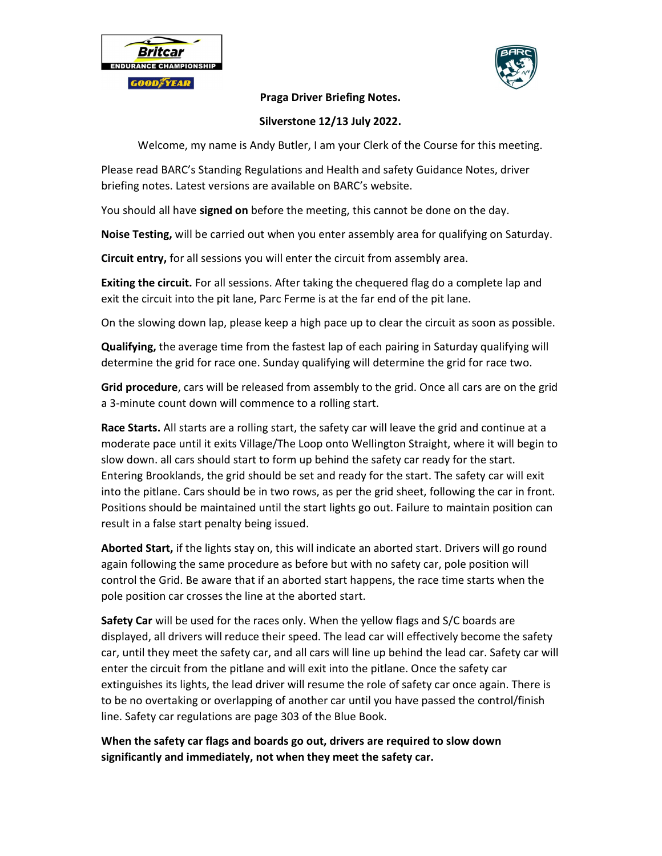



## Praga Driver Briefing Notes.

## Silverstone 12/13 July 2022.

Welcome, my name is Andy Butler, I am your Clerk of the Course for this meeting.

Please read BARC's Standing Regulations and Health and safety Guidance Notes, driver briefing notes. Latest versions are available on BARC's website.

You should all have **signed on** before the meeting, this cannot be done on the day.

Noise Testing, will be carried out when you enter assembly area for qualifying on Saturday.

**Circuit entry,** for all sessions you will enter the circuit from assembly area.

Exiting the circuit. For all sessions. After taking the chequered flag do a complete lap and exit the circuit into the pit lane, Parc Ferme is at the far end of the pit lane.

On the slowing down lap, please keep a high pace up to clear the circuit as soon as possible.

Qualifying, the average time from the fastest lap of each pairing in Saturday qualifying will determine the grid for race one. Sunday qualifying will determine the grid for race two.

Grid procedure, cars will be released from assembly to the grid. Once all cars are on the grid a 3-minute count down will commence to a rolling start.

Race Starts. All starts are a rolling start, the safety car will leave the grid and continue at a moderate pace until it exits Village/The Loop onto Wellington Straight, where it will begin to slow down. all cars should start to form up behind the safety car ready for the start. Entering Brooklands, the grid should be set and ready for the start. The safety car will exit into the pitlane. Cars should be in two rows, as per the grid sheet, following the car in front. Positions should be maintained until the start lights go out. Failure to maintain position can result in a false start penalty being issued.

Aborted Start, if the lights stay on, this will indicate an aborted start. Drivers will go round again following the same procedure as before but with no safety car, pole position will control the Grid. Be aware that if an aborted start happens, the race time starts when the pole position car crosses the line at the aborted start.

Safety Car will be used for the races only. When the yellow flags and S/C boards are displayed, all drivers will reduce their speed. The lead car will effectively become the safety car, until they meet the safety car, and all cars will line up behind the lead car. Safety car will enter the circuit from the pitlane and will exit into the pitlane. Once the safety car extinguishes its lights, the lead driver will resume the role of safety car once again. There is to be no overtaking or overlapping of another car until you have passed the control/finish line. Safety car regulations are page 303 of the Blue Book.

When the safety car flags and boards go out, drivers are required to slow down significantly and immediately, not when they meet the safety car.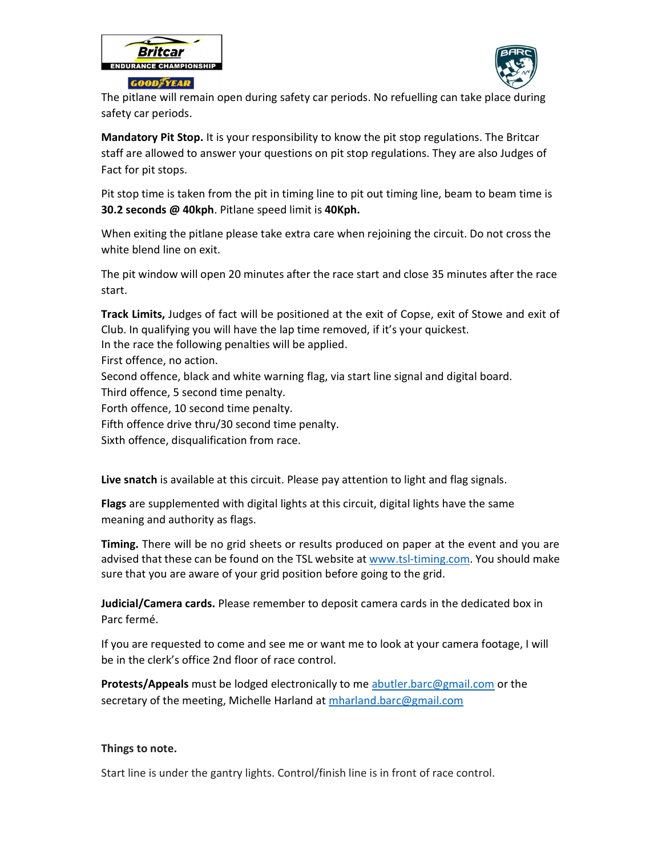



The pitlane will remain open during safety car periods. No refuelling can take place during safety car periods.

Mandatory Pit Stop. It is your responsibility to know the pit stop regulations. The Britcar staff are allowed to answer your questions on pit stop regulations. They are also Judges of Fact for pit stops.

Pit stop time is taken from the pit in timing line to pit out timing line, beam to beam time is 30.2 seconds @ 40kph. Pitlane speed limit is 40Kph.

When exiting the pitlane please take extra care when rejoining the circuit. Do not cross the white blend line on exit.

The pit window will open 20 minutes after the race start and close 35 minutes after the race start.

Track Limits, Judges of fact will be positioned at the exit of Copse, exit of Stowe and exit of Club. In qualifying you will have the lap time removed, if it's your quickest.

In the race the following penalties will be applied.

First offence, no action.

Second offence, black and white warning flag, via start line signal and digital board.

Third offence, 5 second time penalty.

Forth offence, 10 second time penalty.

Fifth offence drive thru/30 second time penalty.

Sixth offence, disqualification from race.

Live snatch is available at this circuit. Please pay attention to light and flag signals.

Flags are supplemented with digital lights at this circuit, digital lights have the same meaning and authority as flags.

Timing. There will be no grid sheets or results produced on paper at the event and you are advised that these can be found on the TSL website at www.tsl-timing.com. You should make sure that you are aware of your grid position before going to the grid.

Judicial/Camera cards. Please remember to deposit camera cards in the dedicated box in Parc fermé.

If you are requested to come and see me or want me to look at your camera footage, I will be in the clerk's office 2nd floor of race control.

Protests/Appeals must be lodged electronically to me abutler.barc@gmail.com or the secretary of the meeting, Michelle Harland at mharland.barc@gmail.com

## Things to note.

Start line is under the gantry lights. Control/finish line is in front of race control.